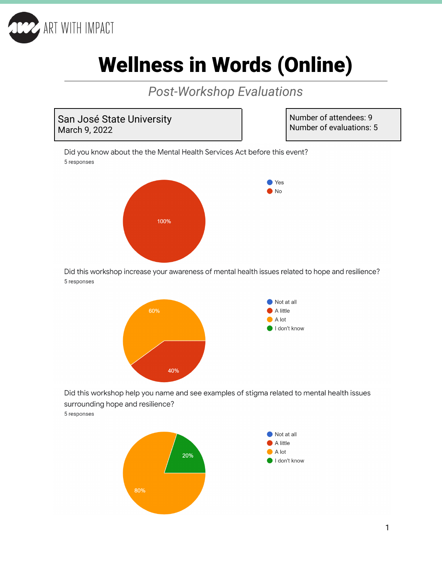

# Wellness in Words (Online)

*Post-Workshop Evaluations*



Number of attendees: 9 Number of evaluations: 5

Did you know about the the Mental Health Services Act before this event? 5 responses



Did this workshop increase your awareness of mental health issues related to hope and resilience? 5 responses



Did this workshop help you name and see examples of stigma related to mental health issues surrounding hope and resilience?

5 responses



1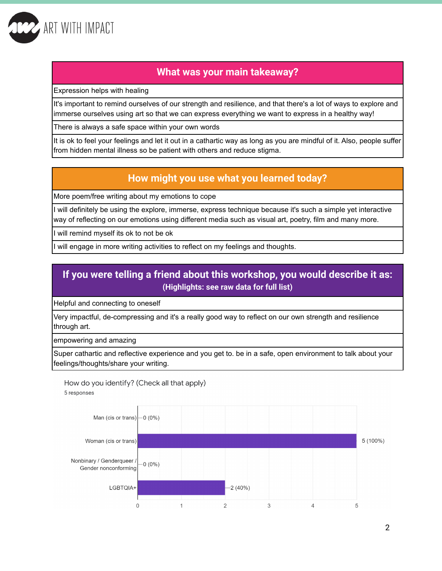

### **What was your main takeaway?**

Expression helps with healing

It's important to remind ourselves of our strength and resilience, and that there's a lot of ways to explore and immerse ourselves using art so that we can express everything we want to express in a healthy way!

There is always a safe space within your own words

It is ok to feel your feelings and let it out in a cathartic way as long as you are mindful of it. Also, people suffer from hidden mental illness so be patient with others and reduce stigma.

## **How might you use what you learned today?**

More poem/free writing about my emotions to cope

I will definitely be using the explore, immerse, express technique because it's such a simple yet interactive way of reflecting on our emotions using different media such as visual art, poetry, film and many more.

I will remind myself its ok to not be ok

will engage in more writing activities to reflect on my feelings and thoughts.

# **If you were telling a friend about this workshop, you would describe it as: (Highlights: see raw data for full list)**

Helpful and connecting to oneself

Very impactful, de-compressing and it's a really good way to reflect on our own strength and resilience through art.

empowering and amazing

Super cathartic and reflective experience and you get to. be in a safe, open environment to talk about your feelings/thoughts/share your writing.

How do you identify? (Check all that apply) 5 responses

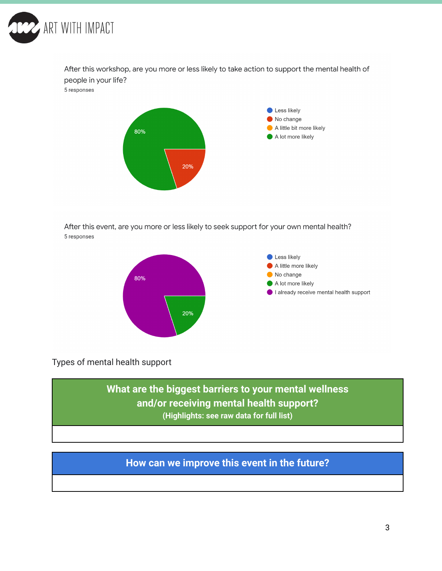

After this workshop, are you more or less likely to take action to support the mental health of people in your life? 5 responses



After this event, are you more or less likely to seek support for your own mental health? 5 responses



Types of mental health support

**What are the biggest barriers to your mental wellness and/or receiving mental health support? (Highlights: see raw data for full list)**

# **How can we improve this event in the future?**